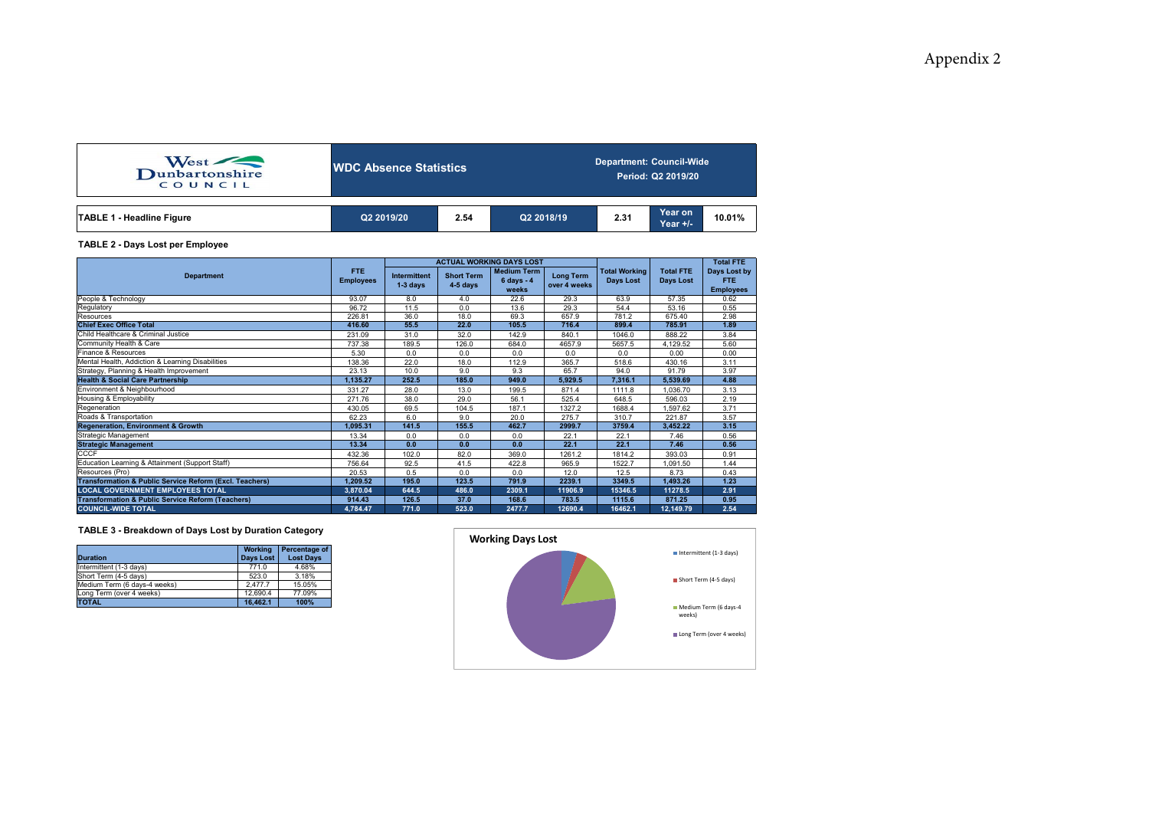| West<br>COUNCIL                  | <b>NDC Absence Statistics</b> |      |            | <b>Department: Council-Wide</b><br>Period: Q2 2019/20 |                            |        |  |  |  |
|----------------------------------|-------------------------------|------|------------|-------------------------------------------------------|----------------------------|--------|--|--|--|
| <b>TABLE 1 - Headline Figure</b> | Q2 2019/20                    | 2.54 | Q2 2018/19 | 2.31                                                  | <b>Year on</b><br>Year +/- | 10.01% |  |  |  |

### **TABLE 2 - Days Lost per Employee**

|                                                                    |                          |                                   |                                 | <b>ACTUAL WORKING DAYS LOST</b>             |                                                                              |         | <b>Total FTE</b>              |                                                |
|--------------------------------------------------------------------|--------------------------|-----------------------------------|---------------------------------|---------------------------------------------|------------------------------------------------------------------------------|---------|-------------------------------|------------------------------------------------|
| <b>Department</b>                                                  | FTE.<br><b>Employees</b> | <b>Intermittent</b><br>$1-3$ days | <b>Short Term</b><br>$4-5$ days | <b>Medium Term</b><br>$6 days - 4$<br>weeks | <b>Total Working</b><br><b>Long Term</b><br><b>Days Lost</b><br>over 4 weeks |         | <b>Total FTE</b><br>Days Lost | Days Lost by<br><b>FTE</b><br><b>Employees</b> |
| People & Technology                                                | 93.07                    | 8.0                               | 4.0                             | 22.6                                        | 29.3                                                                         | 63.9    | 57.35                         | 0.62                                           |
| Regulatory                                                         | 96.72                    | 11.5                              | 0.0                             | 13.6                                        | 29.3                                                                         | 54.4    | 53.16                         | 0.55                                           |
| Resources                                                          | 226.81                   | 36.0                              | 18.0                            | 69.3                                        | 657.9                                                                        | 781.2   | 675.40                        | 2.98                                           |
| <b>Chief Exec Office Total</b>                                     | 416.60                   | 55.5                              | 22.0                            | 105.5                                       | 716.4                                                                        | 899.4   | 785.91                        | 1.89                                           |
| Child Healthcare & Criminal Justice                                | 231.09                   | 31.0                              | 32.0                            | 142.9                                       | 840.1                                                                        | 1046.0  | 888.22                        | 3.84                                           |
| Community Health & Care                                            | 737.38                   | 189.5                             | 126.0                           | 684.0                                       | 4657.9                                                                       | 5657.5  | 4,129.52                      | 5.60                                           |
| Finance & Resources                                                | 5.30                     | 0.0                               | 0.0                             | 0.0                                         | 0.0                                                                          | 0.0     | 0.00                          | 0.00                                           |
| Mental Health, Addiction & Learning Disabilities                   | 138.36                   | 22.0                              | 18.0                            | 112.9                                       | 365.7                                                                        | 518.6   | 430.16                        | 3.11                                           |
| Strategy, Planning & Health Improvement                            | 23.13                    | 10.0                              | 9.0                             | 9.3                                         | 65.7                                                                         | 94.0    | 91.79                         | 3.97                                           |
| <b>Health &amp; Social Care Partnership</b>                        | 1.135.27                 | 252.5                             | 185.0                           | 949.0                                       | 5.929.5                                                                      | 7.316.1 | 5.539.69                      | 4.88                                           |
| Environment & Neighbourhood                                        | 331.27                   | 28.0                              | 13.0                            | 199.5                                       | 871.4                                                                        | 1111.8  | 1.036.70                      | 3.13                                           |
| Housing & Employability                                            | 271.76                   | 38.0                              | 29.0                            | 56.1                                        | 525.4                                                                        | 648.5   | 596.03                        | 2.19                                           |
| Regeneration                                                       | 430.05                   | 69.5                              | 104.5                           | 187.1                                       | 1327.2                                                                       | 1688.4  | .597.62                       | 3.71                                           |
| Roads & Transportation                                             | 62.23                    | 6.0                               | 9.0                             | 20.0                                        | 275.7                                                                        | 310.7   | 221.87                        | 3.57                                           |
| <b>Regeneration, Environment &amp; Growth</b>                      | 1,095.31                 | 141.5                             | 155.5                           | 462.7                                       | 2999.7                                                                       | 3759.4  | 3.452.22                      | 3.15                                           |
| Strategic Management                                               | 13.34                    | 0.0                               | 0.0                             | 0.0                                         | 22.1                                                                         | 22.1    | 7.46                          | 0.56                                           |
| <b>Strategic Management</b>                                        | 13.34                    | 0.0                               | 0.0                             | 0.0                                         | 22.1                                                                         | 22.1    | 7.46                          | 0.56                                           |
| <b>CCCF</b>                                                        | 432.36                   | 102.0                             | 82.0                            | 369.0                                       | 1261.2                                                                       | 1814.2  | 393.03                        | 0.91                                           |
| Education Learning & Attainment (Support Staff)                    | 756.64                   | 92.5                              | 41.5                            | 422.8                                       | 965.9                                                                        | 1522.7  | 1.091.50                      | 1.44                                           |
| Resources (Pro)                                                    | 20.53                    | 0.5                               | 0.0                             | 0.0                                         | 12.0                                                                         | 12.5    | 8.73                          | 0.43                                           |
| <b>Transformation &amp; Public Service Reform (Excl. Teachers)</b> | 1,209.52                 | 195.0                             | 123.5                           | 791.9                                       | 2239.1                                                                       | 3349.5  | 1.493.26                      | 1.23                                           |
| <b>LOCAL GOVERNMENT EMPLOYEES TOTAL</b>                            | 3.870.04                 | 644.5                             | 486.0                           | 2309.1                                      | 11906.9                                                                      | 15346.5 | 11278.5                       | 2.91                                           |
| <b>Transformation &amp; Public Service Reform (Teachers)</b>       | 914.43                   | 126.5                             | 37.0                            | 168.6                                       | 783.5                                                                        | 1115.6  | 871.25                        | 0.95                                           |
| <b>COUNCIL-WIDE TOTAL</b>                                          | 4,784.47                 | 771.0                             | 523.0                           | 2477.7                                      | 12690.4                                                                      | 16462.1 | 12,149.79                     | 2.54                                           |

## **TABLE 3 - Breakdown of Days Lost by Duration Category**

| <b>Duration</b>              | <b>Working</b><br><b>Days Lost</b> | Percentage of<br><b>Lost Davs</b> |
|------------------------------|------------------------------------|-----------------------------------|
| Intermittent (1-3 days)      | 771.0                              | 4.68%                             |
| Short Term (4-5 days)        | 523.0                              | 3.18%                             |
| Medium Term (6 days-4 weeks) | 2.477.7                            | 15.05%                            |
| Long Term (over 4 weeks)     | 12.690.4                           | 77.09%                            |
| <b>TOTAL</b>                 | 16.462.1                           | 100%                              |